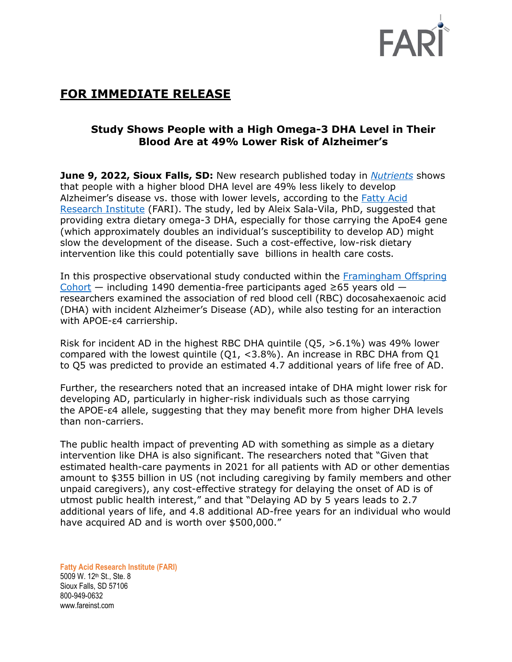

# **FOR IMMEDIATE RELEASE**

## **Study Shows People with a High Omega-3 DHA Level in Their Blood Are at 49% Lower Risk of Alzheimer's**

**June 9, 2022, Sioux Falls, SD:** New research published today in *[Nutrients](https://www.mdpi.com/2072-6643/14/12/2408)* shows that people with a higher blood DHA level are 49% less likely to develop Alzheimer's disease vs. those with lower levels, according to the [Fatty Acid](https://www.faresinst.org/)  [Research Institute](https://www.faresinst.org/) (FARI). The study, led by Aleix Sala-Vila, PhD, suggested that providing extra dietary omega-3 DHA, especially for those carrying the ApoE4 gene (which approximately doubles an individual's susceptibility to develop AD) might slow the development of the disease. Such a cost-effective, low-risk dietary intervention like this could potentially save billions in health care costs.

In this prospective observational study conducted within the [Framingham Offspring](https://en.wikipedia.org/wiki/Framingham_Heart_Study)  [Cohort](https://en.wikipedia.org/wiki/Framingham_Heart_Study) — including 1490 dementia-free participants aged  $\geq$ 65 years old researchers examined the association of red blood cell (RBC) docosahexaenoic acid (DHA) with incident Alzheimer's Disease (AD), while also testing for an interaction with APOE-ε4 carriership.

Risk for incident AD in the highest RBC DHA quintile  $(Q5, >6.1\%)$  was 49% lower compared with the lowest quintile (Q1, <3.8%). An increase in RBC DHA from Q1 to Q5 was predicted to provide an estimated 4.7 additional years of life free of AD.

Further, the researchers noted that an increased intake of DHA might lower risk for developing AD, particularly in higher-risk individuals such as those carrying the APOE-ε4 allele, suggesting that they may benefit more from higher DHA levels than non-carriers.

The public health impact of preventing AD with something as simple as a dietary intervention like DHA is also significant. The researchers noted that "Given that estimated health-care payments in 2021 for all patients with AD or other dementias amount to \$355 billion in US (not including caregiving by family members and other unpaid caregivers), any cost-effective strategy for delaying the onset of AD is of utmost public health interest," and that "Delaying AD by 5 years leads to 2.7 additional years of life, and 4.8 additional AD-free years for an individual who would have acquired AD and is worth over \$500,000."

**Fatty Acid Research Institute (FARI)** 5009 W. 12th St., Ste. 8 Sioux Falls, SD 57106 800-949-0632 www.fareinst.com